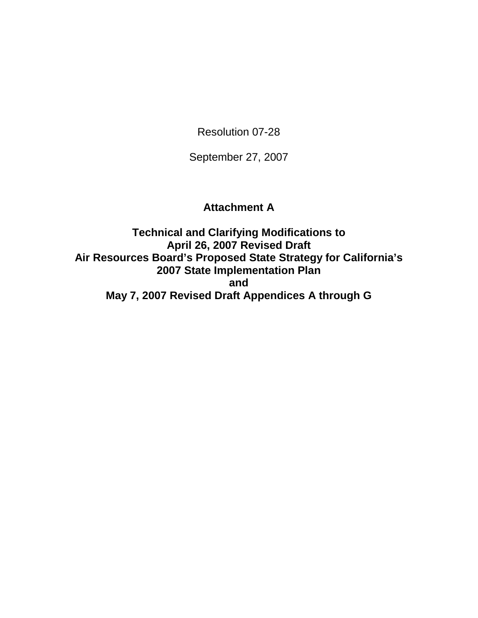Resolution 07-28

September 27, 2007

## **Attachment A**

**Technical and Clarifying Modifications to April 26, 2007 Revised Draft Air Resources Board's Proposed State Strategy for California's 2007 State Implementation Plan and May 7, 2007 Revised Draft Appendices A through G**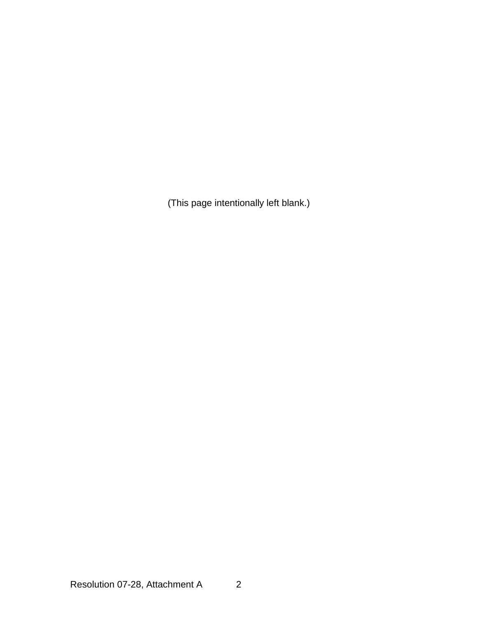(This page intentionally left blank.)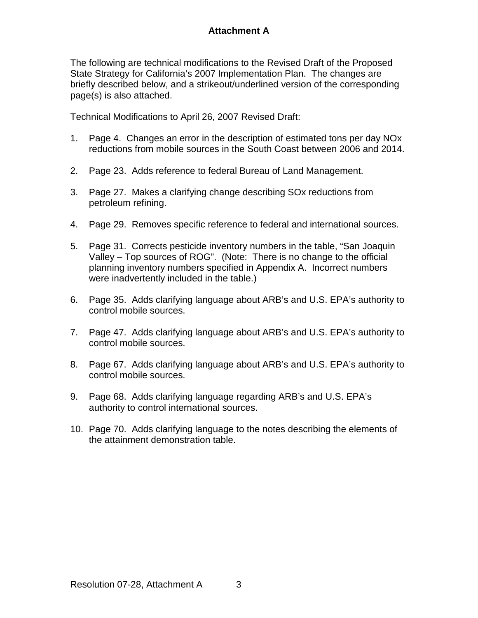The following are technical modifications to the Revised Draft of the Proposed State Strategy for California's 2007 Implementation Plan. The changes are briefly described below, and a strikeout/underlined version of the corresponding page(s) is also attached.

Technical Modifications to April 26, 2007 Revised Draft:

- 1. Page 4. Changes an error in the description of estimated tons per day NOx reductions from mobile sources in the South Coast between 2006 and 2014.
- 2. Page 23. Adds reference to federal Bureau of Land Management.
- 3. Page 27. Makes a clarifying change describing SOx reductions from petroleum refining.
- 4. Page 29. Removes specific reference to federal and international sources.
- 5. Page 31. Corrects pesticide inventory numbers in the table, "San Joaquin Valley – Top sources of ROG". (Note: There is no change to the official planning inventory numbers specified in Appendix A. Incorrect numbers were inadvertently included in the table.)
- 6. Page 35. Adds clarifying language about ARB's and U.S. EPA's authority to control mobile sources.
- 7. Page 47. Adds clarifying language about ARB's and U.S. EPA's authority to control mobile sources.
- 8. Page 67. Adds clarifying language about ARB's and U.S. EPA's authority to control mobile sources.
- 9. Page 68. Adds clarifying language regarding ARB's and U.S. EPA's authority to control international sources.
- 10. Page 70. Adds clarifying language to the notes describing the elements of the attainment demonstration table.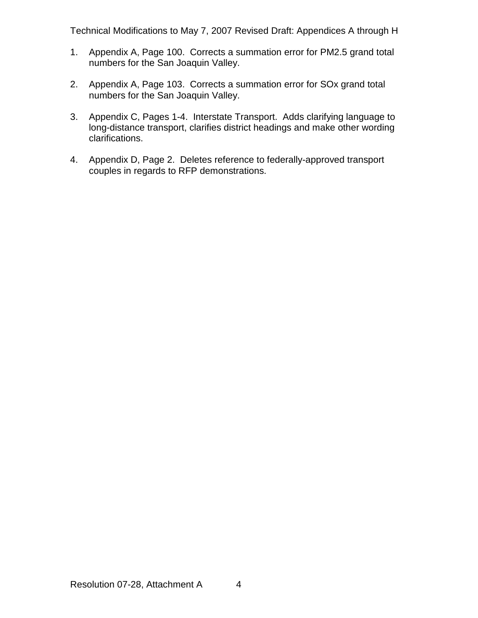Technical Modifications to May 7, 2007 Revised Draft: Appendices A through H

- 1. Appendix A, Page 100. Corrects a summation error for PM2.5 grand total numbers for the San Joaquin Valley.
- 2. Appendix A, Page 103. Corrects a summation error for SOx grand total numbers for the San Joaquin Valley.
- 3. Appendix C, Pages 1-4. Interstate Transport. Adds clarifying language to long-distance transport, clarifies district headings and make other wording clarifications.
- 4. Appendix D, Page 2. Deletes reference to federally-approved transport couples in regards to RFP demonstrations.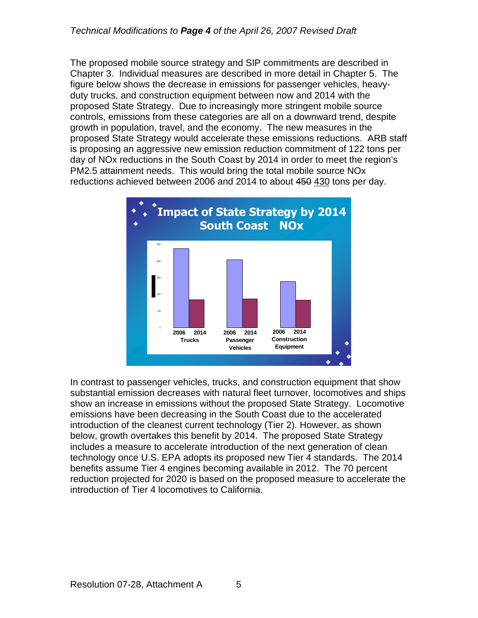#### Technical Modifications to **Page 4** of the April 26, 2007 Revised Draft

The proposed mobile source strategy and SIP commitments are described in Chapter 3. Individual measures are described in more detail in Chapter 5. The figure below shows the decrease in emissions for passenger vehicles, heavyduty trucks, and construction equipment between now and 2014 with the proposed State Strategy. Due to increasingly more stringent mobile source controls, emissions from these categories are all on a downward trend, despite growth in population, travel, and the economy. The new measures in the proposed State Strategy would accelerate these emissions reductions. ARB staff is proposing an aggressive new emission reduction commitment of 122 tons per day of NOx reductions in the South Coast by 2014 in order to meet the region's PM2.5 attainment needs. This would bring the total mobile source NOx reductions achieved between 2006 and 2014 to about 450 430 tons per day.



In contrast to passenger vehicles, trucks, and construction equipment that show substantial emission decreases with natural fleet turnover, locomotives and ships show an increase in emissions without the proposed State Strategy. Locomotive emissions have been decreasing in the South Coast due to the accelerated introduction of the cleanest current technology (Tier 2). However, as shown below, growth overtakes this benefit by 2014. The proposed State Strategy includes a measure to accelerate introduction of the next generation of clean technology once U.S. EPA adopts its proposed new Tier 4 standards. The 2014 benefits assume Tier 4 engines becoming available in 2012. The 70 percent reduction projected for 2020 is based on the proposed measure to accelerate the introduction of Tier 4 locomotives to California.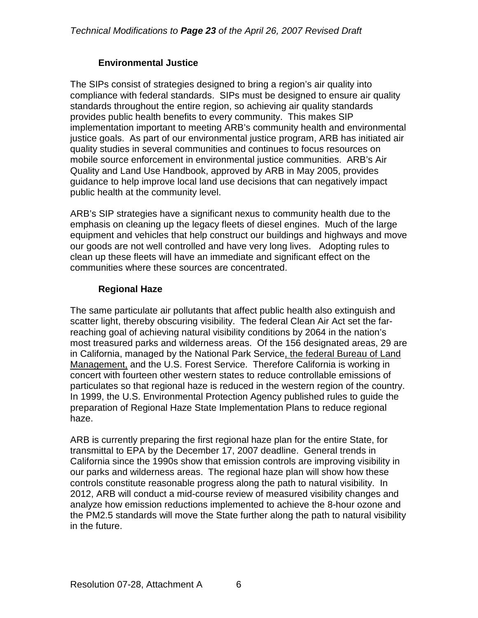## **Environmental Justice**

The SIPs consist of strategies designed to bring a region's air quality into compliance with federal standards. SIPs must be designed to ensure air quality standards throughout the entire region, so achieving air quality standards provides public health benefits to every community. This makes SIP implementation important to meeting ARB's community health and environmental justice goals. As part of our environmental justice program, ARB has initiated air quality studies in several communities and continues to focus resources on mobile source enforcement in environmental justice communities. ARB's Air Quality and Land Use Handbook, approved by ARB in May 2005, provides guidance to help improve local land use decisions that can negatively impact public health at the community level.

ARB's SIP strategies have a significant nexus to community health due to the emphasis on cleaning up the legacy fleets of diesel engines. Much of the large equipment and vehicles that help construct our buildings and highways and move our goods are not well controlled and have very long lives. Adopting rules to clean up these fleets will have an immediate and significant effect on the communities where these sources are concentrated.

## **Regional Haze**

The same particulate air pollutants that affect public health also extinguish and scatter light, thereby obscuring visibility. The federal Clean Air Act set the farreaching goal of achieving natural visibility conditions by 2064 in the nation's most treasured parks and wilderness areas. Of the 156 designated areas, 29 are in California, managed by the National Park Service, the federal Bureau of Land Management, and the U.S. Forest Service. Therefore California is working in concert with fourteen other western states to reduce controllable emissions of particulates so that regional haze is reduced in the western region of the country. In 1999, the U.S. Environmental Protection Agency published rules to guide the preparation of Regional Haze State Implementation Plans to reduce regional haze.

ARB is currently preparing the first regional haze plan for the entire State, for transmittal to EPA by the December 17, 2007 deadline. General trends in California since the 1990s show that emission controls are improving visibility in our parks and wilderness areas. The regional haze plan will show how these controls constitute reasonable progress along the path to natural visibility. In 2012, ARB will conduct a mid-course review of measured visibility changes and analyze how emission reductions implemented to achieve the 8-hour ozone and the PM2.5 standards will move the State further along the path to natural visibility in the future.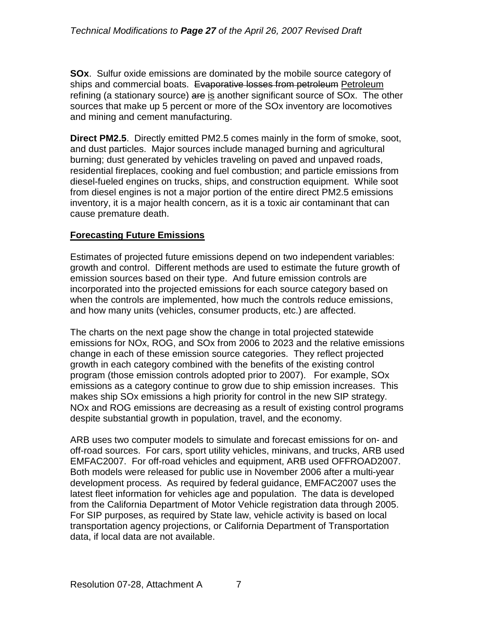**SOx**. Sulfur oxide emissions are dominated by the mobile source category of ships and commercial boats. Evaporative losses from petroleum Petroleum refining (a stationary source) are is another significant source of SOx. The other sources that make up 5 percent or more of the SOx inventory are locomotives and mining and cement manufacturing.

**Direct PM2.5**. Directly emitted PM2.5 comes mainly in the form of smoke, soot, and dust particles. Major sources include managed burning and agricultural burning; dust generated by vehicles traveling on paved and unpaved roads, residential fireplaces, cooking and fuel combustion; and particle emissions from diesel-fueled engines on trucks, ships, and construction equipment. While soot from diesel engines is not a major portion of the entire direct PM2.5 emissions inventory, it is a major health concern, as it is a toxic air contaminant that can cause premature death.

### **Forecasting Future Emissions**

Estimates of projected future emissions depend on two independent variables: growth and control. Different methods are used to estimate the future growth of emission sources based on their type. And future emission controls are incorporated into the projected emissions for each source category based on when the controls are implemented, how much the controls reduce emissions, and how many units (vehicles, consumer products, etc.) are affected.

The charts on the next page show the change in total projected statewide emissions for NOx, ROG, and SOx from 2006 to 2023 and the relative emissions change in each of these emission source categories. They reflect projected growth in each category combined with the benefits of the existing control program (those emission controls adopted prior to 2007). For example, SOx emissions as a category continue to grow due to ship emission increases. This makes ship SOx emissions a high priority for control in the new SIP strategy. NOx and ROG emissions are decreasing as a result of existing control programs despite substantial growth in population, travel, and the economy.

ARB uses two computer models to simulate and forecast emissions for on- and off-road sources. For cars, sport utility vehicles, minivans, and trucks, ARB used EMFAC2007. For off-road vehicles and equipment, ARB used OFFROAD2007. Both models were released for public use in November 2006 after a multi-year development process. As required by federal guidance, EMFAC2007 uses the latest fleet information for vehicles age and population. The data is developed from the California Department of Motor Vehicle registration data through 2005. For SIP purposes, as required by State law, vehicle activity is based on local transportation agency projections, or California Department of Transportation data, if local data are not available.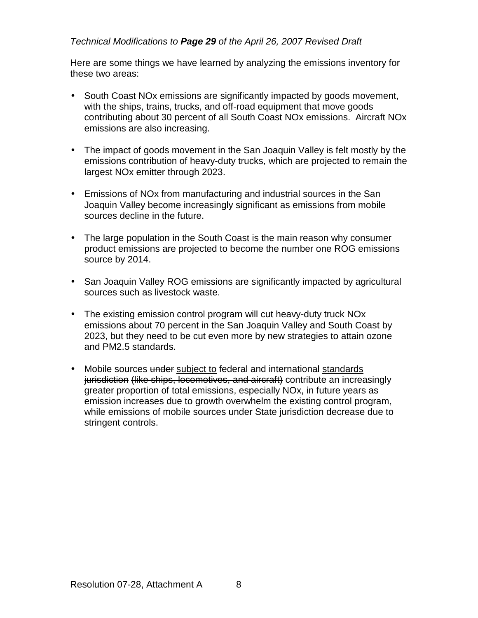## Technical Modifications to **Page 29** of the April 26, 2007 Revised Draft

Here are some things we have learned by analyzing the emissions inventory for these two areas:

- South Coast NOx emissions are significantly impacted by goods movement, with the ships, trains, trucks, and off-road equipment that move goods contributing about 30 percent of all South Coast NOx emissions. Aircraft NOx emissions are also increasing.
- The impact of goods movement in the San Joaquin Valley is felt mostly by the emissions contribution of heavy-duty trucks, which are projected to remain the largest NOx emitter through 2023.
- Emissions of NOx from manufacturing and industrial sources in the San Joaquin Valley become increasingly significant as emissions from mobile sources decline in the future.
- The large population in the South Coast is the main reason why consumer product emissions are projected to become the number one ROG emissions source by 2014.
- San Joaquin Valley ROG emissions are significantly impacted by agricultural sources such as livestock waste.
- The existing emission control program will cut heavy-duty truck NOx emissions about 70 percent in the San Joaquin Valley and South Coast by 2023, but they need to be cut even more by new strategies to attain ozone and PM2.5 standards.
- Mobile sources under subject to federal and international standards jurisdiction (like ships, locomotives, and aircraft) contribute an increasingly greater proportion of total emissions, especially NOx, in future years as emission increases due to growth overwhelm the existing control program, while emissions of mobile sources under State jurisdiction decrease due to stringent controls.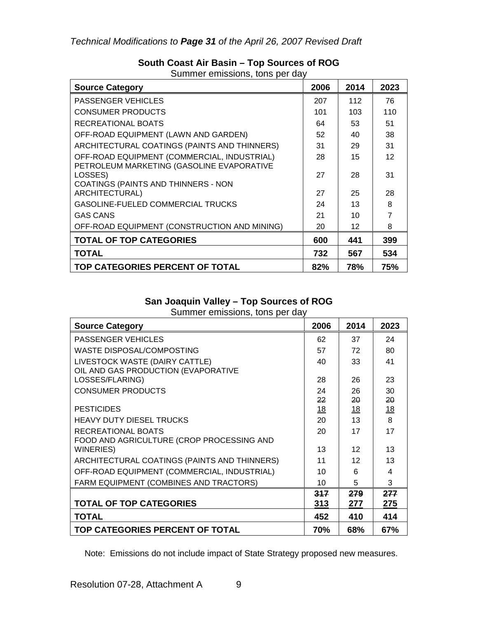| <b>Source Category</b>                                                                   | 2006 | 2014            | 2023 |
|------------------------------------------------------------------------------------------|------|-----------------|------|
| <b>PASSENGER VEHICLES</b>                                                                | 207  | 112             | 76   |
| <b>CONSUMER PRODUCTS</b>                                                                 | 101  | 103             | 110  |
| RECREATIONAL BOATS                                                                       | 64   | 53              | 51   |
| OFF-ROAD EQUIPMENT (LAWN AND GARDEN)                                                     | 52   | 40              | 38   |
| ARCHITECTURAL COATINGS (PAINTS AND THINNERS)                                             | 31   | 29              | 31   |
| OFF-ROAD EQUIPMENT (COMMERCIAL, INDUSTRIAL)<br>PETROLEUM MARKETING (GASOLINE EVAPORATIVE | 28   | 15              | 12   |
| LOSSES)<br>COATINGS (PAINTS AND THINNERS - NON                                           | 27   | 28              | 31   |
| <b>ARCHITECTURAL)</b>                                                                    | 27   | 25              | 28   |
| GASOLINE-FUELED COMMERCIAL TRUCKS                                                        | 24   | 13              | 8    |
| <b>GAS CANS</b>                                                                          | 21   | 10 <sup>1</sup> |      |
| OFF-ROAD EQUIPMENT (CONSTRUCTION AND MINING)                                             | 20   | 12              | 8    |
| <b>TOTAL OF TOP CATEGORIES</b>                                                           | 600  | 441             | 399  |
| <b>TOTAL</b>                                                                             | 732  | 567             | 534  |
| TOP CATEGORIES PERCENT OF TOTAL                                                          | 82%  | 78%             | 75%  |

#### **South Coast Air Basin – Top Sources of ROG**  Summer emissions, tons per day

#### **San Joaquin Valley – Top Sources of ROG**

| <b>Source Category</b>                                                | 2006      | 2014      | 2023      |
|-----------------------------------------------------------------------|-----------|-----------|-----------|
| <b>PASSENGER VEHICLES</b>                                             | 62        | 37        | 24        |
| WASTE DISPOSAL/COMPOSTING                                             | 57        | 72        | 80        |
| LIVESTOCK WASTE (DAIRY CATTLE)<br>OIL AND GAS PRODUCTION (EVAPORATIVE | 40        | 33        | 41        |
| LOSSES/FLARING)                                                       | 28        | 26        | 23        |
| <b>CONSUMER PRODUCTS</b>                                              | 24<br>22  | 26<br>20  | 30<br>20  |
| <b>PESTICIDES</b>                                                     | <u>18</u> | <u>18</u> | <u>18</u> |
| <b>HEAVY DUTY DIESEL TRUCKS</b>                                       | 20        | 13        | 8         |
| RECREATIONAL BOATS<br>FOOD AND AGRICULTURE (CROP PROCESSING AND       | 20        | 17        | 17        |
| WINERIES)                                                             | 13        | 12        | 13        |
| ARCHITECTURAL COATINGS (PAINTS AND THINNERS)                          | 11        | 12        | 13        |
| OFF-ROAD EQUIPMENT (COMMERCIAL, INDUSTRIAL)                           | 10        | 6         | 4         |
| FARM EQUIPMENT (COMBINES AND TRACTORS)                                | 10        | 5         | 3         |
|                                                                       | 317       | 279       | 277       |
| <b>TOTAL OF TOP CATEGORIES</b>                                        | 313       | 277       | 275       |
| <b>TOTAL</b>                                                          | 452       | 410       | 414       |
| TOP CATEGORIES PERCENT OF TOTAL                                       | 70%       | 68%       | 67%       |

Summer emissions, tons per day

Note: Emissions do not include impact of State Strategy proposed new measures.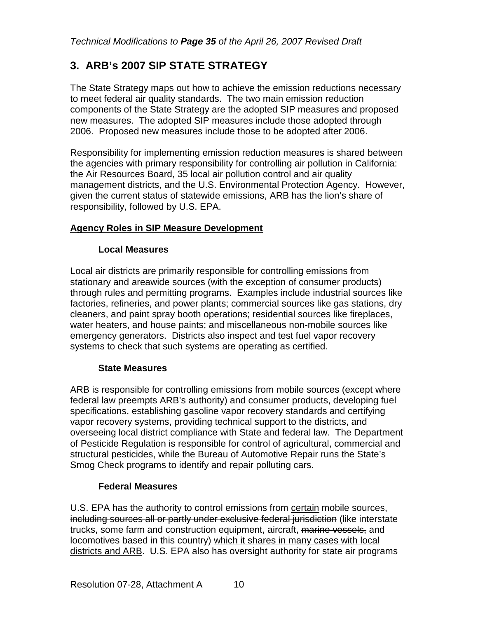# **3. ARB's 2007 SIP STATE STRATEGY**

The State Strategy maps out how to achieve the emission reductions necessary to meet federal air quality standards. The two main emission reduction components of the State Strategy are the adopted SIP measures and proposed new measures. The adopted SIP measures include those adopted through 2006. Proposed new measures include those to be adopted after 2006.

Responsibility for implementing emission reduction measures is shared between the agencies with primary responsibility for controlling air pollution in California: the Air Resources Board, 35 local air pollution control and air quality management districts, and the U.S. Environmental Protection Agency. However, given the current status of statewide emissions, ARB has the lion's share of responsibility, followed by U.S. EPA.

## **Agency Roles in SIP Measure Development**

## **Local Measures**

Local air districts are primarily responsible for controlling emissions from stationary and areawide sources (with the exception of consumer products) through rules and permitting programs. Examples include industrial sources like factories, refineries, and power plants; commercial sources like gas stations, dry cleaners, and paint spray booth operations; residential sources like fireplaces, water heaters, and house paints; and miscellaneous non-mobile sources like emergency generators. Districts also inspect and test fuel vapor recovery systems to check that such systems are operating as certified.

## **State Measures**

ARB is responsible for controlling emissions from mobile sources (except where federal law preempts ARB's authority) and consumer products, developing fuel specifications, establishing gasoline vapor recovery standards and certifying vapor recovery systems, providing technical support to the districts, and overseeing local district compliance with State and federal law. The Department of Pesticide Regulation is responsible for control of agricultural, commercial and structural pesticides, while the Bureau of Automotive Repair runs the State's Smog Check programs to identify and repair polluting cars.

## **Federal Measures**

U.S. EPA has the authority to control emissions from certain mobile sources, including sources all or partly under exclusive federal jurisdiction (like interstate trucks, some farm and construction equipment, aircraft, marine vessels, and locomotives based in this country) which it shares in many cases with local districts and ARB. U.S. EPA also has oversight authority for state air programs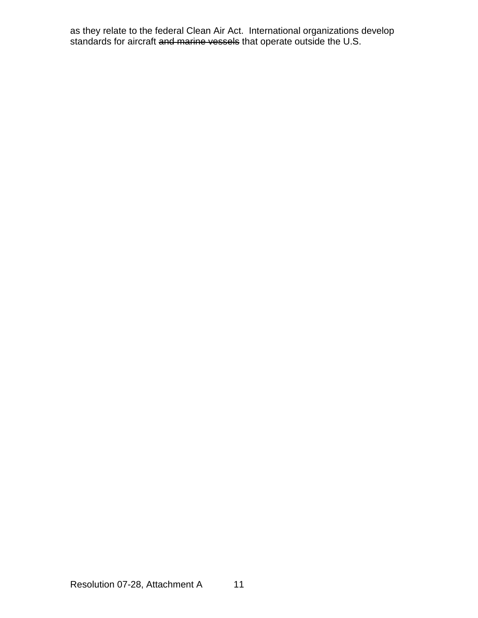as they relate to the federal Clean Air Act. International organizations develop standards for aircraft and marine vessels that operate outside the U.S.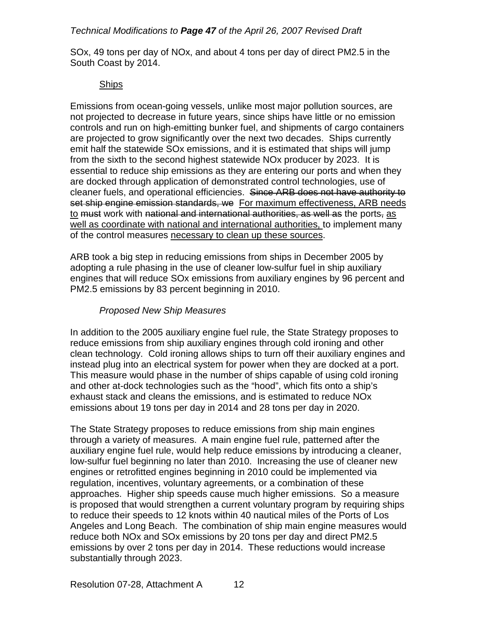#### Technical Modifications to **Page 47** of the April 26, 2007 Revised Draft

SOx, 49 tons per day of NOx, and about 4 tons per day of direct PM2.5 in the South Coast by 2014.

#### Ships

Emissions from ocean-going vessels, unlike most major pollution sources, are not projected to decrease in future years, since ships have little or no emission controls and run on high-emitting bunker fuel, and shipments of cargo containers are projected to grow significantly over the next two decades. Ships currently emit half the statewide SOx emissions, and it is estimated that ships will jump from the sixth to the second highest statewide NOx producer by 2023. It is essential to reduce ship emissions as they are entering our ports and when they are docked through application of demonstrated control technologies, use of cleaner fuels, and operational efficiencies. Since ARB does not have authority to set ship engine emission standards, we For maximum effectiveness, ARB needs to must work with national and international authorities, as well as the ports, as well as coordinate with national and international authorities, to implement many of the control measures necessary to clean up these sources.

ARB took a big step in reducing emissions from ships in December 2005 by adopting a rule phasing in the use of cleaner low-sulfur fuel in ship auxiliary engines that will reduce SOx emissions from auxiliary engines by 96 percent and PM2.5 emissions by 83 percent beginning in 2010.

#### Proposed New Ship Measures

In addition to the 2005 auxiliary engine fuel rule, the State Strategy proposes to reduce emissions from ship auxiliary engines through cold ironing and other clean technology. Cold ironing allows ships to turn off their auxiliary engines and instead plug into an electrical system for power when they are docked at a port. This measure would phase in the number of ships capable of using cold ironing and other at-dock technologies such as the "hood", which fits onto a ship's exhaust stack and cleans the emissions, and is estimated to reduce NOx emissions about 19 tons per day in 2014 and 28 tons per day in 2020.

The State Strategy proposes to reduce emissions from ship main engines through a variety of measures. A main engine fuel rule, patterned after the auxiliary engine fuel rule, would help reduce emissions by introducing a cleaner, low-sulfur fuel beginning no later than 2010. Increasing the use of cleaner new engines or retrofitted engines beginning in 2010 could be implemented via regulation, incentives, voluntary agreements, or a combination of these approaches. Higher ship speeds cause much higher emissions. So a measure is proposed that would strengthen a current voluntary program by requiring ships to reduce their speeds to 12 knots within 40 nautical miles of the Ports of Los Angeles and Long Beach. The combination of ship main engine measures would reduce both NOx and SOx emissions by 20 tons per day and direct PM2.5 emissions by over 2 tons per day in 2014. These reductions would increase substantially through 2023.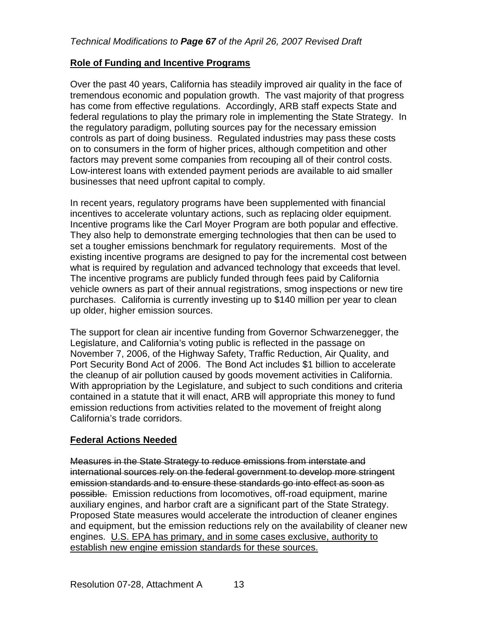## **Role of Funding and Incentive Programs**

Over the past 40 years, California has steadily improved air quality in the face of tremendous economic and population growth. The vast majority of that progress has come from effective regulations. Accordingly, ARB staff expects State and federal regulations to play the primary role in implementing the State Strategy. In the regulatory paradigm, polluting sources pay for the necessary emission controls as part of doing business. Regulated industries may pass these costs on to consumers in the form of higher prices, although competition and other factors may prevent some companies from recouping all of their control costs. Low-interest loans with extended payment periods are available to aid smaller businesses that need upfront capital to comply.

In recent years, regulatory programs have been supplemented with financial incentives to accelerate voluntary actions, such as replacing older equipment. Incentive programs like the Carl Moyer Program are both popular and effective. They also help to demonstrate emerging technologies that then can be used to set a tougher emissions benchmark for regulatory requirements. Most of the existing incentive programs are designed to pay for the incremental cost between what is required by regulation and advanced technology that exceeds that level. The incentive programs are publicly funded through fees paid by California vehicle owners as part of their annual registrations, smog inspections or new tire purchases. California is currently investing up to \$140 million per year to clean up older, higher emission sources.

The support for clean air incentive funding from Governor Schwarzenegger, the Legislature, and California's voting public is reflected in the passage on November 7, 2006, of the Highway Safety, Traffic Reduction, Air Quality, and Port Security Bond Act of 2006. The Bond Act includes \$1 billion to accelerate the cleanup of air pollution caused by goods movement activities in California. With appropriation by the Legislature, and subject to such conditions and criteria contained in a statute that it will enact, ARB will appropriate this money to fund emission reductions from activities related to the movement of freight along California's trade corridors.

## **Federal Actions Needed**

Measures in the State Strategy to reduce emissions from interstate and international sources rely on the federal government to develop more stringent emission standards and to ensure these standards go into effect as soon as possible. Emission reductions from locomotives, off-road equipment, marine auxiliary engines, and harbor craft are a significant part of the State Strategy. Proposed State measures would accelerate the introduction of cleaner engines and equipment, but the emission reductions rely on the availability of cleaner new engines. U.S. EPA has primary, and in some cases exclusive, authority to establish new engine emission standards for these sources.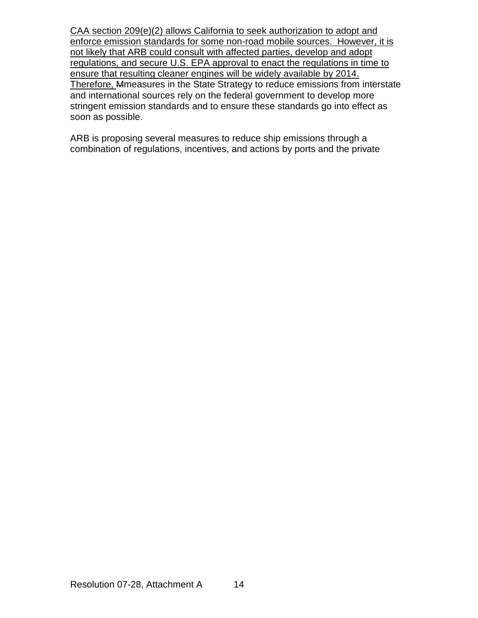CAA section 209(e)(2) allows California to seek authorization to adopt and enforce emission standards for some non-road mobile sources. However, it is not likely that ARB could consult with affected parties, develop and adopt regulations, and secure U.S. EPA approval to enact the regulations in time to ensure that resulting cleaner engines will be widely available by 2014. Therefore, Mmeasures in the State Strategy to reduce emissions from interstate and international sources rely on the federal government to develop more stringent emission standards and to ensure these standards go into effect as soon as possible.

ARB is proposing several measures to reduce ship emissions through a combination of regulations, incentives, and actions by ports and the private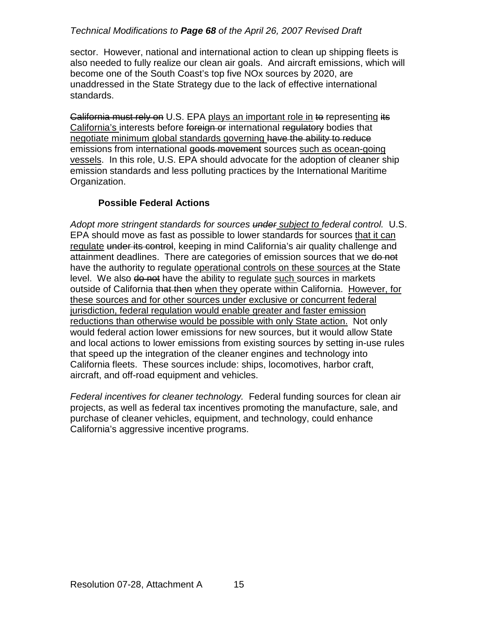#### Technical Modifications to **Page 68** of the April 26, 2007 Revised Draft

sector. However, national and international action to clean up shipping fleets is also needed to fully realize our clean air goals. And aircraft emissions, which will become one of the South Coast's top five NOx sources by 2020, are unaddressed in the State Strategy due to the lack of effective international standards.

California must rely on U.S. EPA plays an important role in to representing its California's interests before foreign or international regulatory bodies that negotiate minimum global standards governing have the ability to reduce emissions from international goods movement sources such as ocean-going vessels. In this role, U.S. EPA should advocate for the adoption of cleaner ship emission standards and less polluting practices by the International Maritime Organization.

### **Possible Federal Actions**

Adopt more stringent standards for sources under subject to federal control. U.S. EPA should move as fast as possible to lower standards for sources that it can regulate under its control, keeping in mind California's air quality challenge and attainment deadlines. There are categories of emission sources that we do not have the authority to regulate operational controls on these sources at the State level. We also do not have the ability to regulate such sources in markets outside of California that then when they operate within California. However, for these sources and for other sources under exclusive or concurrent federal jurisdiction, federal regulation would enable greater and faster emission reductions than otherwise would be possible with only State action. Not only would federal action lower emissions for new sources, but it would allow State and local actions to lower emissions from existing sources by setting in-use rules that speed up the integration of the cleaner engines and technology into California fleets. These sources include: ships, locomotives, harbor craft, aircraft, and off-road equipment and vehicles.

Federal incentives for cleaner technology. Federal funding sources for clean air projects, as well as federal tax incentives promoting the manufacture, sale, and purchase of cleaner vehicles, equipment, and technology, could enhance California's aggressive incentive programs.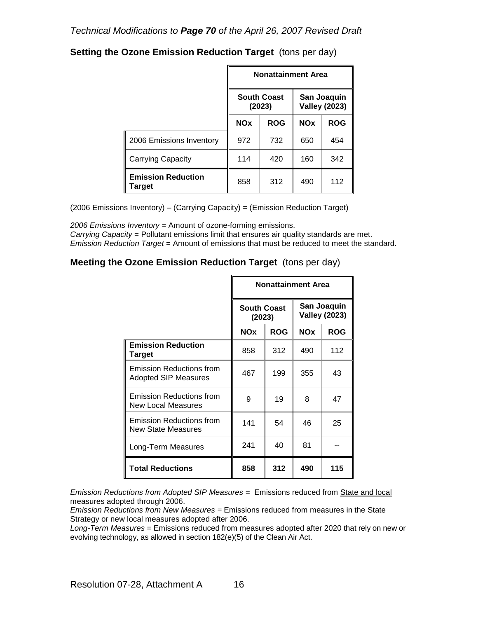|                                            | <b>Nonattainment Area</b> |                              |            |                                     |  |  |  |  |
|--------------------------------------------|---------------------------|------------------------------|------------|-------------------------------------|--|--|--|--|
|                                            |                           | <b>South Coast</b><br>(2023) |            | San Joaquin<br><b>Valley (2023)</b> |  |  |  |  |
|                                            | <b>NOx</b>                | <b>ROG</b>                   | <b>NOx</b> | <b>ROG</b>                          |  |  |  |  |
| 2006 Emissions Inventory                   | 972                       | 732                          | 650        | 454                                 |  |  |  |  |
| <b>Carrying Capacity</b>                   | 114                       | 420                          | 160        | 342                                 |  |  |  |  |
| <b>Emission Reduction</b><br><b>Target</b> | 858                       | 312                          | 490        | 112                                 |  |  |  |  |

## **Setting the Ozone Emission Reduction Target** (tons per day)

(2006 Emissions Inventory) – (Carrying Capacity) = (Emission Reduction Target)

2006 Emissions Inventory = Amount of ozone-forming emissions. Carrying Capacity = Pollutant emissions limit that ensures air quality standards are met. Emission Reduction Target = Amount of emissions that must be reduced to meet the standard.

### **Meeting the Ozone Emission Reduction Target** (tons per day)

|                                                                | <b>Nonattainment Area</b>    |            |            |                                     |  |  |  |  |
|----------------------------------------------------------------|------------------------------|------------|------------|-------------------------------------|--|--|--|--|
|                                                                | <b>South Coast</b><br>(2023) |            |            | San Joaquin<br><b>Valley (2023)</b> |  |  |  |  |
|                                                                | <b>NOx</b>                   | <b>ROG</b> | <b>NOx</b> | <b>ROG</b>                          |  |  |  |  |
| <b>Emission Reduction</b><br>Target                            | 858                          | 312        | 490        | 112                                 |  |  |  |  |
| <b>Emission Reductions from</b><br><b>Adopted SIP Measures</b> | 467                          | 199        | 355        | 43                                  |  |  |  |  |
| Emission Reductions from<br>New Local Measures                 | 9                            | 19         | 8          | 47                                  |  |  |  |  |
| <b>Emission Reductions from</b><br>New State Measures          | 141                          | 54         | 46         | 25                                  |  |  |  |  |
| Long-Term Measures                                             | 241                          | 40         | 81         |                                     |  |  |  |  |
| <b>Total Reductions</b>                                        | 858                          | 312        | 490        | 115                                 |  |  |  |  |

Emission Reductions from Adopted SIP Measures = Emissions reduced from State and local measures adopted through 2006.

Emission Reductions from New Measures = Emissions reduced from measures in the State Strategy or new local measures adopted after 2006.

Long-Term Measures = Emissions reduced from measures adopted after 2020 that rely on new or evolving technology, as allowed in section 182(e)(5) of the Clean Air Act.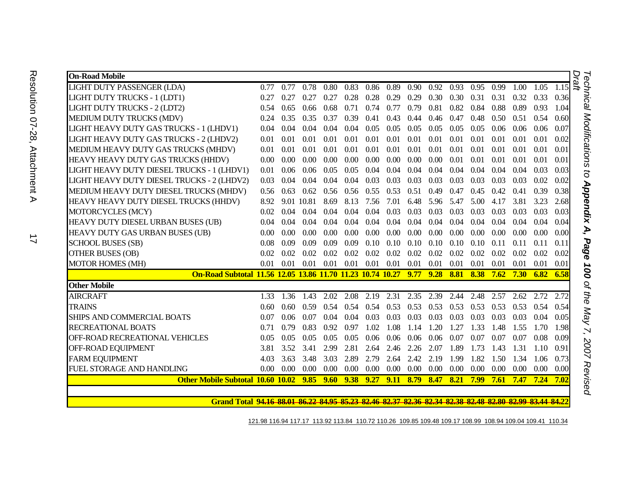| <b>On-Road Mobile</b><br>LIGHT DUTY PASSENGER (LDA)        | 0.77 | 0.77                                     | 0.78       | 0.80 | 0.83 | 0.86 | 0.89 | 0.90 | 0.92 | 0.93     | 0.95 | 0.99 | 1.00 | 1.05     | 1.15 |
|------------------------------------------------------------|------|------------------------------------------|------------|------|------|------|------|------|------|----------|------|------|------|----------|------|
| LIGHT DUTY TRUCKS - 1 (LDT1)                               | 0.27 | 0.27                                     | 0.27       | 0.27 | 0.28 | 0.28 | 0.29 | 0.29 | 0.30 | 0.30     | 0.31 | 0.31 | 0.32 | 0.33     | 0.36 |
| LIGHT DUTY TRUCKS - 2 (LDT2)                               | 0.54 | 0.65                                     | 0.66       | 0.68 | 0.71 | 0.74 | 0.77 | 0.79 | 0.81 | 0.82     | 0.84 | 0.88 | 0.89 | 0.93     | 1.04 |
| MEDIUM DUTY TRUCKS (MDV)                                   | 0.24 | 0.35                                     | 0.35       | 0.37 | 0.39 | 0.41 | 0.43 | 0.44 | 0.46 | 0.47     | 0.48 | 0.50 | 0.51 | 0.54     | 0.60 |
| LIGHT HEAVY DUTY GAS TRUCKS - 1 (LHDV1)                    | 0.04 | 0.04                                     | 0.04       | 0.04 | 0.04 | 0.05 | 0.05 | 0.05 | 0.05 | 0.05     | 0.05 | 0.06 | 0.06 | 0.06     | 0.07 |
| LIGHT HEAVY DUTY GAS TRUCKS - 2 (LHDV2)                    | 0.01 | 0.01                                     | 0.01       | 0.01 | 0.01 | 0.01 | 0.01 | 0.01 | 0.01 | 0.01     | 0.01 | 0.01 | 0.01 | 0.01     | 0.02 |
| MEDIUM HEAVY DUTY GAS TRUCKS (MHDV)                        | 0.01 | 0.01                                     | 0.01       | 0.01 | 0.01 | 0.01 | 0.01 | 0.01 | 0.01 | 0.01     | 0.01 | 0.01 | 0.01 | 0.01     | 0.01 |
| HEAVY HEAVY DUTY GAS TRUCKS (HHDV)                         | 0.00 | 0.00                                     | 0.00       | 0.00 | 0.00 | 0.00 | 0.00 | 0.00 | 0.00 | 0.01     | 0.01 | 0.01 | 0.01 | 0.01     | 0.01 |
| LIGHT HEAVY DUTY DIESEL TRUCKS - 1 (LHDV1)                 | 0.01 | 0.06                                     | 0.06       | 0.05 | 0.05 | 0.04 | 0.04 | 0.04 | 0.04 | 0.04     | 0.04 | 0.04 | 0.04 | 0.03     | 0.03 |
| LIGHT HEAVY DUTY DIESEL TRUCKS - 2 (LHDV2)                 | 0.03 | 0.04                                     | 0.04       | 0.04 | 0.04 | 0.03 | 0.03 | 0.03 | 0.03 | 0.03     | 0.03 | 0.03 | 0.03 | 0.02     | 0.02 |
| MEDIUM HEAVY DUTY DIESEL TRUCKS (MHDV)                     | 0.56 | 0.63                                     | 0.62       | 0.56 | 0.56 | 0.55 | 0.53 | 0.51 | 0.49 | 0.47     | 0.45 | 0.42 | 0.41 | 0.39     | 0.38 |
| HEAVY HEAVY DUTY DIESEL TRUCKS (HHDV)                      | 8.92 |                                          | 9.01 10.81 | 8.69 | 8.13 | 7.56 | 7.01 | 6.48 | 5.96 | 5.47     | 5.00 | 4.17 | 3.81 | 3.23     | 2.68 |
| MOTORCYCLES (MCY)                                          | 0.02 | 0.04                                     | 0.04       | 0.04 | 0.04 | 0.04 | 0.03 | 0.03 | 0.03 | 0.03     | 0.03 | 0.03 | 0.03 | 0.03     | 0.03 |
| HEAVY DUTY DIESEL URBAN BUSES (UB)                         | 0.04 | 0.04                                     | 0.04       | 0.04 | 0.04 | 0.04 | 0.04 | 0.04 | 0.04 | 0.04     | 0.04 | 0.04 | 0.04 | 0.04     | 0.04 |
| HEAVY DUTY GAS URBAN BUSES (UB)                            | 0.00 | 0.00                                     | 0.00       | 0.00 | 0.00 | 0.00 | 0.00 | 0.00 | 0.00 | 0.00     | 0.00 | 0.00 | 0.00 | 0.00     | 0.00 |
| <b>SCHOOL BUSES (SB)</b>                                   | 0.08 | 0.09                                     | 0.09       | 0.09 | 0.09 | 0.10 | 0.10 | 0.10 | 0.10 | 0.10     | 0.10 | 0.11 | 0.11 | 0.11     | 0.11 |
| <b>OTHER BUSES (OB)</b>                                    | 0.02 | 0.02                                     | 0.02       | 0.02 | 0.02 | 0.02 | 0.02 | 0.02 | 0.02 | 0.02     | 0.02 | 0.02 | 0.02 | 0.02     | 0.02 |
| <b>MOTOR HOMES (MH)</b>                                    | 0.01 | 0.01                                     | 0.01       | 0.01 | 0.01 | 0.01 | 0.01 | 0.01 | 0.01 | 0.01     | 0.01 | 0.01 | 0.01 | 0.01     | 0.01 |
| On-Road Subtotal 11.56 12.05 13.86 11.70 11.23 10.74 10.27 |      |                                          |            |      |      |      |      | 9.77 | 9.28 | 8.81     | 8.38 | 7.62 | 7.30 | 6.82     | 6.58 |
| <b>Other Mobile</b>                                        |      |                                          |            |      |      |      |      |      |      |          |      |      |      |          |      |
| <b>AIRCRAFT</b>                                            | 1.33 | 1.36                                     | 1.43       | 2.02 | 2.08 | 2.19 | 2.31 | 2.35 | 2.39 | 2.44     | 2.48 | 2.57 | 2.62 | 2.72     | 2.72 |
| <b>TRAINS</b>                                              | 0.60 | 0.60                                     | 0.59       | 0.54 | 0.54 | 0.54 | 0.53 | 0.53 | 0.53 | 0.53     | 0.53 | 0.53 | 0.53 | 0.54     | 0.54 |
| <b>SHIPS AND COMMERCIAL BOATS</b>                          | 0.07 | 0.06                                     | 0.07       | 0.04 | 0.04 | 0.03 | 0.03 | 0.03 | 0.03 | 0.03     | 0.03 | 0.03 | 0.03 | 0.04     | 0.05 |
| <b>RECREATIONAL BOATS</b>                                  | 0.71 | 0.79                                     | 0.83       | 0.92 | 0.97 | 1.02 | 1.08 | 1.14 | 1.20 | 1.27     | 1.33 | 1.48 | 1.55 | 1.70     | 1.98 |
| OFF-ROAD RECREATIONAL VEHICLES                             | 0.05 | 0.05                                     | 0.05       | 0.05 | 0.05 | 0.06 | 0.06 | 0.06 | 0.06 | 0.07     | 0.07 | 0.07 | 0.07 | 0.08     | 0.09 |
| OFF-ROAD EQUIPMENT                                         | 3.81 | 3.52                                     | 3.41       | 2.99 | 2.81 | 2.64 | 2.46 | 2.26 | 2.07 | 1.89     | 1.73 | 1.43 | 1.31 | 1.10     | 0.91 |
| <b>FARM EQUIPMENT</b>                                      | 4.03 | 3.63                                     | 3.48       | 3.03 | 2.89 | 2.79 | 2.64 | 2.42 | 2.19 | 1.99     | 1.82 | 1.50 | 1.34 | 1.06     | 0.73 |
| FUEL STORAGE AND HANDLING                                  | 0.00 | 0.00                                     | 0.00       | 0.00 | 0.00 | 0.00 | 0.00 | 0.00 | 0.00 | $0.00\,$ | 0.00 | 0.00 | 0.00 | $0.00\,$ | 0.00 |
|                                                            |      | <b>Other Mobile Subtotal 10.60 10.02</b> | 9.85       | 9.60 | 9.38 | 9.27 | 9.11 | 8.79 | 8.47 | 8.21     | 7.99 | 7.61 | 7.47 | 7.24     | 7.02 |

121.98 116.94 117.17 113.92 113.84 110.72 110.26 109.85 109.48 109.17 108.99 108.94 109.04 109.41 110.34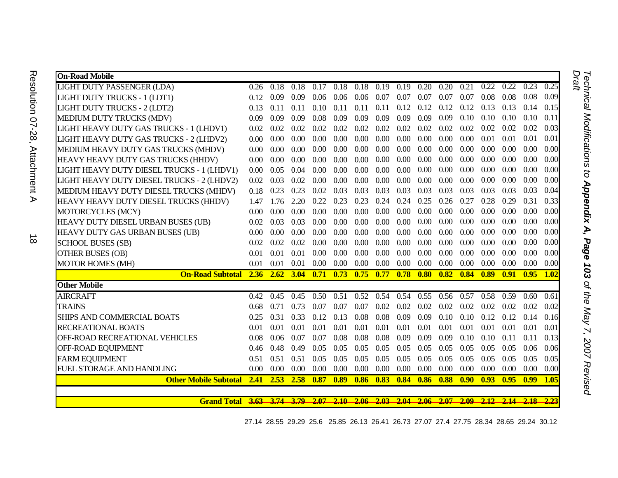| <b>On-Road Mobile</b>                      |      |               |             |      |      |                      |      |          |                |      |                   |      |      |         |      |
|--------------------------------------------|------|---------------|-------------|------|------|----------------------|------|----------|----------------|------|-------------------|------|------|---------|------|
| <b>LIGHT DUTY PASSENGER (LDA)</b>          | 0.26 | 0.18          | 0.18        | 0.17 | 0.18 | 0.18                 | 0.19 | 0.19     | 0.20           | 0.20 | 0.21              | 0.22 | 0.22 | 0.23    | 0.25 |
| LIGHT DUTY TRUCKS - 1 (LDT1)               | 0.12 | 0.09          | 0.09        | 0.06 | 0.06 | 0.06                 | 0.07 | 0.07     | 0.07           | 0.07 | 0.07              | 0.08 | 0.08 | 0.08    | 0.09 |
| LIGHT DUTY TRUCKS - 2 (LDT2)               | 0.13 | 0.11          | 0.11        | 0.10 | 0.11 | 0.11                 | 0.11 | 0.12     | 0.12           | 0.12 | 0.12              | 0.13 | 0.13 | 0.14    | 0.15 |
| MEDIUM DUTY TRUCKS (MDV)                   | 0.09 | 0.09          | 0.09        | 0.08 | 0.09 | 0.09                 | 0.09 | 0.09     | 0.09           | 0.09 | 0.10              | 0.10 | 0.10 | 0.10    | 0.11 |
| LIGHT HEAVY DUTY GAS TRUCKS - 1 (LHDV1)    | 0.02 | 0.02          | 0.02        | 0.02 | 0.02 | 0.02                 | 0.02 | 0.02     | 0.02           | 0.02 | 0.02              | 0.02 | 0.02 | 0.02    | 0.03 |
| LIGHT HEAVY DUTY GAS TRUCKS - 2 (LHDV2)    | 0.00 | 0.00          | 0.00        | 0.00 | 0.00 | 0.00                 | 0.00 | 0.00     | 0.00           | 0.00 | 0.00              | 0.01 | 0.01 | 0.01    | 0.01 |
| MEDIUM HEAVY DUTY GAS TRUCKS (MHDV)        | 0.00 | 0.00          | 0.00        | 0.00 | 0.00 | 0.00                 | 0.00 | 0.00     | 0.00           | 0.00 | 0.00              | 0.00 | 0.00 | 0.00    | 0.00 |
| HEAVY HEAVY DUTY GAS TRUCKS (HHDV)         | 0.00 | 0.00          | 0.00        | 0.00 | 0.00 | 0.00                 | 0.00 | 0.00     | 0.00           | 0.00 | 0.00              | 0.00 | 0.00 | 0.00    | 0.00 |
| LIGHT HEAVY DUTY DIESEL TRUCKS - 1 (LHDV1) | 0.00 | 0.05          | 0.04        | 0.00 | 0.00 | 0.00                 | 0.00 | 0.00     | 0.00           | 0.00 | 0.00              | 0.00 | 0.00 | 0.00    | 0.00 |
| LIGHT HEAVY DUTY DIESEL TRUCKS - 2 (LHDV2) | 0.02 | 0.03          | 0.02        | 0.00 | 0.00 | 0.00                 | 0.00 | 0.00     | 0.00           | 0.00 | 0.00              | 0.00 | 0.00 | 0.00    | 0.00 |
| MEDIUM HEAVY DUTY DIESEL TRUCKS (MHDV)     | 0.18 | 0.23          | 0.23        | 0.02 | 0.03 | 0.03                 | 0.03 | 0.03     | 0.03           | 0.03 | 0.03              | 0.03 | 0.03 | 0.03    | 0.04 |
| HEAVY HEAVY DUTY DIESEL TRUCKS (HHDV)      | 1.47 | 1.76          | 2.20        | 0.22 | 0.23 | 0.23                 | 0.24 | 0.24     | 0.25           | 0.26 | 0.27              | 0.28 | 0.29 | 0.31    | 0.33 |
| MOTORCYCLES (MCY)                          | 0.00 | 0.00          | 0.00        | 0.00 | 0.00 | 0.00                 | 0.00 | 0.00     | 0.00           | 0.00 | 0.00              | 0.00 | 0.00 | 0.00    | 0.00 |
| HEAVY DUTY DIESEL URBAN BUSES (UB)         | 0.02 | 0.03          | 0.03        | 0.00 | 0.00 | 0.00                 | 0.00 | 0.00     | 0.00           | 0.00 | 0.00              | 0.00 | 0.00 | 0.00    | 0.00 |
| HEAVY DUTY GAS URBAN BUSES (UB)            | 0.00 | 0.00          | 0.00        | 0.00 | 0.00 | 0.00                 | 0.00 | 0.00     | 0.00           | 0.00 | 0.00              | 0.00 | 0.00 | 0.00    | 0.00 |
| <b>SCHOOL BUSES (SB)</b>                   | 0.02 | 0.02          | 0.02        | 0.00 | 0.00 | 0.00                 | 0.00 | 0.00     | 0.00           | 0.00 | 0.00              | 0.00 | 0.00 | 0.00    | 0.00 |
| <b>OTHER BUSES (OB)</b>                    | 0.01 | 0.01          | 0.01        | 0.00 | 0.00 | 0.00                 | 0.00 | 0.00     | 0.00           | 0.00 | 0.00              | 0.00 | 0.00 | 0.00    | 0.00 |
| <b>MOTOR HOMES (MH)</b>                    | 0.01 | 0.01          | 0.01        | 0.00 | 0.00 | 0.00                 | 0.00 | 0.00     | 0.00           | 0.00 | 0.00              | 0.00 | 0.00 | 0.00    | 0.00 |
| <b>On-Road Subtotal</b>                    |      | $2.36$ $2.62$ | 3.04        | 0.71 | 0.73 | 0.75                 | 0.77 | 0.78     | 0.80           | 0.82 | 0.84              | 0.89 | 0.91 | 0.95    | 1.02 |
| <b>Other Mobile</b>                        |      |               |             |      |      |                      |      |          |                |      |                   |      |      |         |      |
| <b>AIRCRAFT</b>                            | 0.42 | 0.45          | 0.45        | 0.50 | 0.51 | 0.52                 | 0.54 | 0.54     | 0.55           | 0.56 | 0.57              | 0.58 | 0.59 | 0.60    | 0.61 |
| <b>TRAINS</b>                              | 0.68 | 0.71          | 0.73        | 0.07 | 0.07 | 0.07                 | 0.02 | 0.02     | 0.02           | 0.02 | 0.02              | 0.02 | 0.02 | 0.02    | 0.02 |
| SHIPS AND COMMERCIAL BOATS                 | 0.25 | 0.31          | 0.33        | 0.12 | 0.13 | 0.08                 | 0.08 | 0.09     | 0.09           | 0.10 | 0.10              | 0.12 | 0.12 | 0.14    | 0.16 |
| RECREATIONAL BOATS                         | 0.01 | 0.01          | 0.01        | 0.01 | 0.01 | 0.01                 | 0.01 | 0.01     | 0.01           | 0.01 | 0.01              | 0.01 | 0.01 | 0.01    | 0.01 |
| OFF-ROAD RECREATIONAL VEHICLES             | 0.08 | 0.06          | 0.07        | 0.07 | 0.08 | 0.08                 | 0.08 | 0.09     | 0.09           | 0.09 | 0.10              | 0.10 | 0.11 | 0.11    | 0.13 |
| OFF-ROAD EQUIPMENT                         | 0.46 | 0.48          | 0.49        | 0.05 | 0.05 | 0.05                 | 0.05 | 0.05     | 0.05           | 0.05 | 0.05              | 0.05 | 0.05 | 0.06    | 0.06 |
| <b>FARM EQUIPMENT</b>                      | 0.51 | 0.51          | 0.51        | 0.05 | 0.05 | 0.05                 | 0.05 | 0.05     | 0.05           | 0.05 | 0.05              | 0.05 | 0.05 | 0.05    | 0.05 |
| FUEL STORAGE AND HANDLING                  | 0.00 | $0.00\,$      | 0.00        | 0.00 | 0.00 | 0.00                 | 0.00 | $0.00\,$ | 0.00           | 0.00 | 0.00              | 0.00 | 0.00 | 0.00    | 0.00 |
| <b>Other Mobile Subtotal</b>               |      | $2.41$ $2.53$ | 2.58        | 0.87 | 0.89 | 0.86                 | 0.83 | 0.84     | 0.86           | 0.88 | 0.90 <sub>1</sub> | 0.93 | 0.95 | 0.99    | 1.05 |
| <b>Grand Total 3.63 3.74</b>               |      |               | <u>3.79</u> | 2.07 |      | $2.10 - 2.06 - 2.03$ |      | $-2.04$  | $-2.06 - 2.07$ |      | $-2.09$           | 2.12 | 2.14 | $-2.18$ | 2.23 |
|                                            |      |               |             |      |      |                      |      |          |                |      |                   |      |      |         |      |

27.14 28.55 29.29 25.6 25.85 26.13 26.41 26.73 27.07 27.4 27.75 28.34 28.65 29.24 30.12

Technical Modifications to

**Appendix A, Page 103** 

Technical Modifications to **Appendix A, Page 103** of the May 7, 2007 Revised<br>Draft

of the May 7, 2007 Revised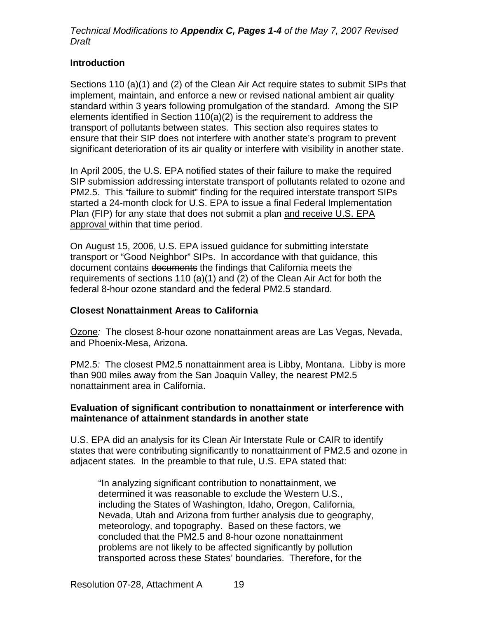#### Technical Modifications to **Appendix C, Pages 1-4** of the May 7, 2007 Revised Draft

## **Introduction**

Sections 110 (a)(1) and (2) of the Clean Air Act require states to submit SIPs that implement, maintain, and enforce a new or revised national ambient air quality standard within 3 years following promulgation of the standard. Among the SIP elements identified in Section 110(a)(2) is the requirement to address the transport of pollutants between states. This section also requires states to ensure that their SIP does not interfere with another state's program to prevent significant deterioration of its air quality or interfere with visibility in another state.

In April 2005, the U.S. EPA notified states of their failure to make the required SIP submission addressing interstate transport of pollutants related to ozone and PM2.5. This "failure to submit" finding for the required interstate transport SIPs started a 24-month clock for U.S. EPA to issue a final Federal Implementation Plan (FIP) for any state that does not submit a plan and receive U.S. EPA approval within that time period.

On August 15, 2006, U.S. EPA issued guidance for submitting interstate transport or "Good Neighbor" SIPs. In accordance with that guidance, this document contains documents the findings that California meets the requirements of sections 110 (a)(1) and (2) of the Clean Air Act for both the federal 8-hour ozone standard and the federal PM2.5 standard.

#### **Closest Nonattainment Areas to California**

Ozone: The closest 8-hour ozone nonattainment areas are Las Vegas, Nevada, and Phoenix-Mesa, Arizona.

PM2.5: The closest PM2.5 nonattainment area is Libby, Montana. Libby is more than 900 miles away from the San Joaquin Valley, the nearest PM2.5 nonattainment area in California.

#### **Evaluation of significant contribution to nonattainment or interference with maintenance of attainment standards in another state**

U.S. EPA did an analysis for its Clean Air Interstate Rule or CAIR to identify states that were contributing significantly to nonattainment of PM2.5 and ozone in adjacent states. In the preamble to that rule, U.S. EPA stated that:

"In analyzing significant contribution to nonattainment, we determined it was reasonable to exclude the Western U.S., including the States of Washington, Idaho, Oregon, California, Nevada, Utah and Arizona from further analysis due to geography, meteorology, and topography. Based on these factors, we concluded that the PM2.5 and 8-hour ozone nonattainment problems are not likely to be affected significantly by pollution transported across these States' boundaries. Therefore, for the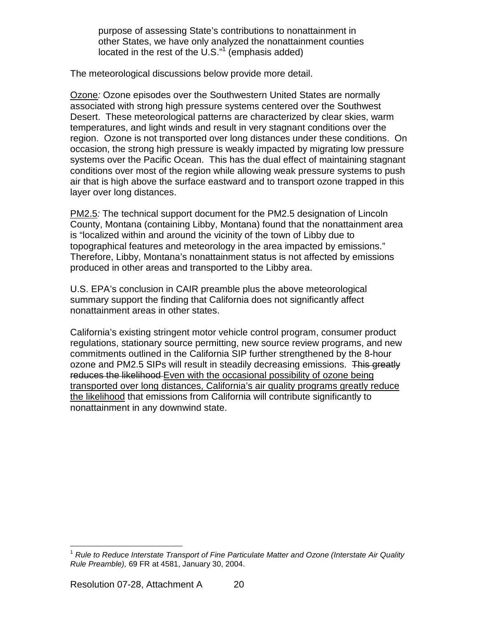purpose of assessing State's contributions to nonattainment in other States, we have only analyzed the nonattainment counties located in the rest of the  $U.S.^{n}$  (emphasis added)

The meteorological discussions below provide more detail.

Ozone: Ozone episodes over the Southwestern United States are normally associated with strong high pressure systems centered over the Southwest Desert. These meteorological patterns are characterized by clear skies, warm temperatures, and light winds and result in very stagnant conditions over the region. Ozone is not transported over long distances under these conditions. On occasion, the strong high pressure is weakly impacted by migrating low pressure systems over the Pacific Ocean. This has the dual effect of maintaining stagnant conditions over most of the region while allowing weak pressure systems to push air that is high above the surface eastward and to transport ozone trapped in this layer over long distances.

PM2.5: The technical support document for the PM2.5 designation of Lincoln County, Montana (containing Libby, Montana) found that the nonattainment area is "localized within and around the vicinity of the town of Libby due to topographical features and meteorology in the area impacted by emissions." Therefore, Libby, Montana's nonattainment status is not affected by emissions produced in other areas and transported to the Libby area.

U.S. EPA's conclusion in CAIR preamble plus the above meteorological summary support the finding that California does not significantly affect nonattainment areas in other states.

California's existing stringent motor vehicle control program, consumer product regulations, stationary source permitting, new source review programs, and new commitments outlined in the California SIP further strengthened by the 8-hour ozone and PM2.5 SIPs will result in steadily decreasing emissions. This greatly reduces the likelihood Even with the occasional possibility of ozone being transported over long distances, California's air quality programs greatly reduce the likelihood that emissions from California will contribute significantly to nonattainment in any downwind state.

 $1$  Rule to Reduce Interstate Transport of Fine Particulate Matter and Ozone (Interstate Air Quality Rule Preamble), 69 FR at 4581, January 30, 2004.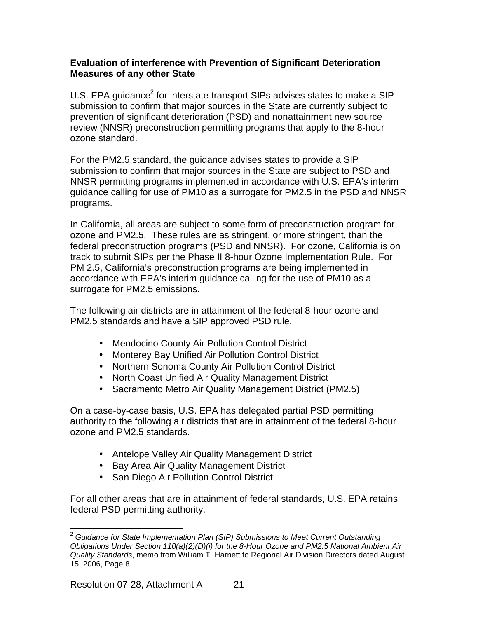### **Evaluation of interference with Prevention of Significant Deterioration Measures of any other State**

U.S. EPA guidance<sup>2</sup> for interstate transport SIPs advises states to make a SIP submission to confirm that major sources in the State are currently subject to prevention of significant deterioration (PSD) and nonattainment new source review (NNSR) preconstruction permitting programs that apply to the 8-hour ozone standard.

For the PM2.5 standard, the guidance advises states to provide a SIP submission to confirm that major sources in the State are subject to PSD and NNSR permitting programs implemented in accordance with U.S. EPA's interim guidance calling for use of PM10 as a surrogate for PM2.5 in the PSD and NNSR programs.

In California, all areas are subject to some form of preconstruction program for ozone and PM2.5. These rules are as stringent, or more stringent, than the federal preconstruction programs (PSD and NNSR). For ozone, California is on track to submit SIPs per the Phase II 8-hour Ozone Implementation Rule. For PM 2.5, California's preconstruction programs are being implemented in accordance with EPA's interim guidance calling for the use of PM10 as a surrogate for PM2.5 emissions.

The following air districts are in attainment of the federal 8-hour ozone and PM2.5 standards and have a SIP approved PSD rule.

- Mendocino County Air Pollution Control District
- Monterey Bay Unified Air Pollution Control District
- Northern Sonoma County Air Pollution Control District
- North Coast Unified Air Quality Management District
- Sacramento Metro Air Quality Management District (PM2.5)

On a case-by-case basis, U.S. EPA has delegated partial PSD permitting authority to the following air districts that are in attainment of the federal 8-hour ozone and PM2.5 standards.

- Antelope Valley Air Quality Management District
- Bay Area Air Quality Management District
- San Diego Air Pollution Control District

For all other areas that are in attainment of federal standards, U.S. EPA retains federal PSD permitting authority.

 $2$  Guidance for State Implementation Plan (SIP) Submissions to Meet Current Outstanding Obligations Under Section 110(a)(2)(D)(i) for the 8-Hour Ozone and PM2.5 National Ambient Air Quality Standards, memo from William T. Harnett to Regional Air Division Directors dated August 15, 2006, Page 8.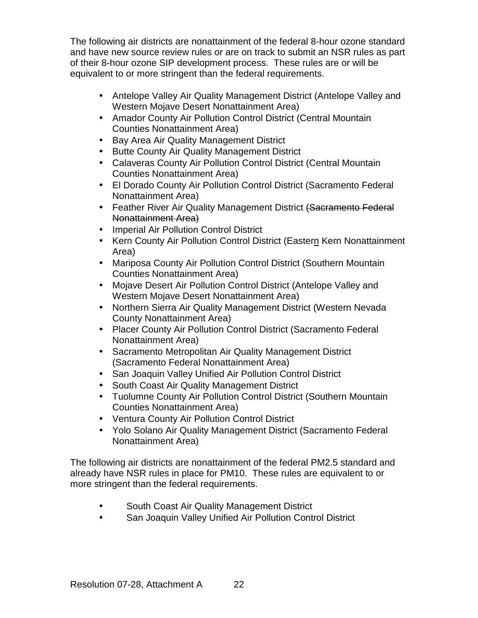The following air districts are nonattainment of the federal 8-hour ozone standard and have new source review rules or are on track to submit an NSR rules as part of their 8-hour ozone SIP development process. These rules are or will be equivalent to or more stringent than the federal requirements.

- Antelope Valley Air Quality Management District (Antelope Valley and Western Mojave Desert Nonattainment Area)
- Amador County Air Pollution Control District (Central Mountain Counties Nonattainment Area)
- Bay Area Air Quality Management District
- Butte County Air Quality Management District
- Calaveras County Air Pollution Control District (Central Mountain Counties Nonattainment Area)
- El Dorado County Air Pollution Control District (Sacramento Federal Nonattainment Area)
- Feather River Air Quality Management District (Sacramento Federal Nonattainment Area)
- Imperial Air Pollution Control District
- Kern County Air Pollution Control District (Eastern Kern Nonattainment Area)
- Mariposa County Air Pollution Control District (Southern Mountain Counties Nonattainment Area)
- Mojave Desert Air Pollution Control District (Antelope Valley and Western Mojave Desert Nonattainment Area)
- Northern Sierra Air Quality Management District (Western Nevada County Nonattainment Area)
- Placer County Air Pollution Control District (Sacramento Federal Nonattainment Area)
- Sacramento Metropolitan Air Quality Management District (Sacramento Federal Nonattainment Area)
- San Joaquin Valley Unified Air Pollution Control District
- South Coast Air Quality Management District
- Tuolumne County Air Pollution Control District (Southern Mountain Counties Nonattainment Area)
- Ventura County Air Pollution Control District
- Yolo Solano Air Quality Management District (Sacramento Federal Nonattainment Area)

The following air districts are nonattainment of the federal PM2.5 standard and already have NSR rules in place for PM10. These rules are equivalent to or more stringent than the federal requirements.

- South Coast Air Quality Management District
- San Joaquin Valley Unified Air Pollution Control District